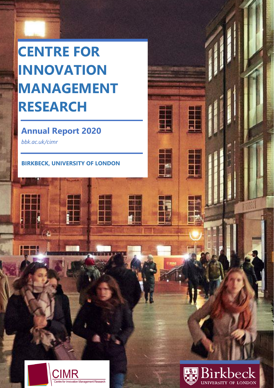# **CENTRE FOR INNOVATION MANAGEMENT RESEARCH**

### **Annual Report 2020**

*bbk.ac.uk/cimr*

**BIRKBECK, UNIVERSITY OF LONDON**





H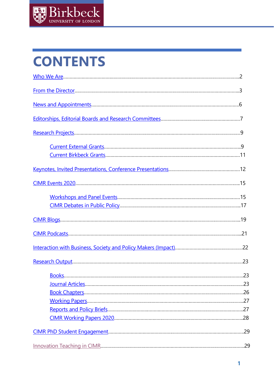

# **CONTENTS**

| .29 |
|-----|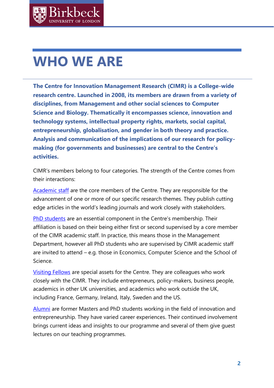## <span id="page-2-0"></span>**WHO WE ARE**

**The Centre for Innovation Management Research (CIMR) is a College-wide research centre. Launched in 2008, its members are drawn from a variety of disciplines, from Management and other social sciences to Computer Science and Biology. Thematically it encompasses science, innovation and technology systems, intellectual property rights, markets, social capital, entrepreneurship, globalisation, and gender in both theory and practice. Analysis and communication of the implications of our research for policymaking (for governments and businesses) are central to the Centre's activities.**

CIMR's members belong to four categories. The strength of the Centre comes from their interactions:

[Academic staff](http://www.bbk.ac.uk/cimr/people/academic-staff/) are the core members of the Centre. They are responsible for the advancement of one or more of our specific research themes. They publish cutting edge articles in the world's leading journals and work closely with stakeholders.

[PhD students](http://www.bbk.ac.uk/cimr/people/phd-students/) are an essential component in the Centre's membership. Their affiliation is based on their being either first or second supervised by a core member of the CIMR academic staff. In practice, this means those in the Management Department, however all PhD students who are supervised by CIMR academic staff are invited to attend – e.g. those in Economics, Computer Science and the School of Science.

[Visiting Fellows](http://www.bbk.ac.uk/cimr/people/visiting-fellows/) are special assets for the Centre. They are colleagues who work closely with the CIMR. They include entrepreneurs, policy-makers, business people, academics in other UK universities, and academics who work outside the UK, including France, Germany, Ireland, Italy, Sweden and the US.

[Alumni](http://www.bbk.ac.uk/cimr/people/alumni/) are former Masters and PhD students working in the field of innovation and entrepreneurship. They have varied career experiences. Their continued involvement brings current ideas and insights to our programme and several of them give guest lectures on our teaching programmes.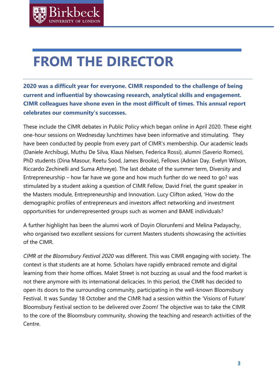# <span id="page-3-0"></span>**FROM THE DIRECTOR**

**2020 was a difficult year for everyone. CIMR responded to the challenge of being current and influential by showcasing research, analytical skills and engagement. CIMR colleagues have shone even in the most difficult of times. This annual report celebrates our community's successes.**

These include the CIMR debates in Public Policy which began online in April 2020. These eight one-hour sessions on Wednesday lunchtimes have been informative and stimulating. They have been conducted by people from every part of CIMR's membership. Our academic leads (Daniele Archibugi, Muthu De Silva, Klaus Nielsen, Federica Rossi), alumni (Saverio Romeo), PhD students (Dina Masour, Reetu Sood, James Brooke), Fellows (Adrian Day, Evelyn Wilson, Riccardo Zechinelli and Suma Athreye). The last debate of the summer term, Diversity and Entrepreneurship – how far have we gone and how much further do we need to go? was stimulated by a student asking a question of CIMR Fellow, David Friel, the guest speaker in the Masters module, Entrepreneurship and Innovation. Lucy Clifton asked, 'How do the demographic profiles of entrepreneurs and investors affect networking and investment opportunities for underrepresented groups such as women and BAME individuals?

A further highlight has been the alumni work of Doyin Olorunfemi and Melina Padayachy, who organised two excellent sessions for current Masters students showcasing the activities of the CIMR.

*CIMR at the Bloomsbury Festival 2020* was different. This was CIMR engaging with society. The context is that students are at home. Scholars have rapidly embraced remote and digital learning from their home offices. Malet Street is not buzzing as usual and the food market is not there anymore with its international delicacies. In this period, the CIMR has decided to open its doors to the surrounding community, participating in the well-known Bloomsbury Festival. It was Sunday 18 October and the CIMR had a session within the 'Visions of Future' Bloomsbury Festival section to be delivered over Zoom! The objective was to take the CIMR to the core of the Bloomsbury community, showing the teaching and research activities of the Centre.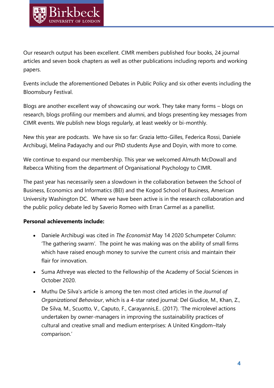Our research output has been excellent. CIMR members published four books, 24 journal articles and seven book chapters as well as other publications including reports and working papers.

Events include the aforementioned Debates in Public Policy and six other events including the Bloomsbury Festival.

Blogs are another excellent way of showcasing our work. They take many forms – blogs on research, blogs profiling our members and alumni, and blogs presenting key messages from CIMR events. We publish new blogs regularly, at least weekly or bi-monthly.

New this year are podcasts. We have six so far: Grazia Ietto-Gilles, Federica Rossi, Daniele Archibugi, Melina Padayachy and our PhD students Ayse and Doyin, with more to come.

We continue to expand our membership. This year we welcomed Almuth McDowall and Rebecca Whiting from the department of Organisational Psychology to CIMR.

The past year has necessarily seen a slowdown in the collaboration between the School of Business, Economics and Informatics (BEI) and the Kogod School of Business, American University Washington DC. Where we have been active is in the research collaboration and the public policy debate led by Saverio Romeo with Erran Carmel as a panellist.

### **Personal achievements include:**

- Daniele Archibugi was cited in *The Economist* May 14 2020 Schumpeter Column: 'The gathering swarm'*.* The point he was making was on the ability of small firms which have raised enough money to survive the current crisis and maintain their flair for innovation.
- Suma Athreye was elected to the Fellowship of the Academy of Social Sciences in October 2020.
- Muthu De Silva's article is among the ten most cited articles in the *Journal of Organizational Behaviour*, which is a 4-star rated journal: Del Giudice, M., Khan, Z., De Silva, M., Scuotto, V., Caputo, F., Carayannis,E.. (2017). 'The microlevel actions undertaken by owner-managers in improving the sustainability practices of cultural and creative small and medium enterprises: A United Kingdom–Italy comparison.'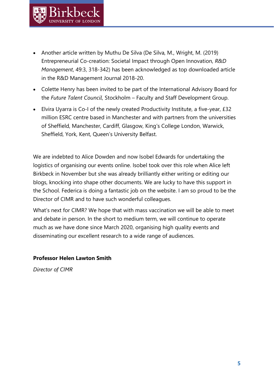- Another article written by Muthu De Silva (De Silva, M., Wright, M. (2019) Entrepreneurial Co-creation: Societal Impact through Open Innovation, *R&D Management*, 49:3, 318-342) has been acknowledged as top downloaded article in the R&D Management Journal 2018-20.
- Colette Henry has been invited to be part of the International Advisory Board for the *Future Talent Council*, Stockholm – Faculty and Staff Development Group.
- Elvira Uyarra is Co-I of the newly created Productivity Institute, a five-year, £32 million ESRC centre based in Manchester and with partners from the universities of Sheffield, Manchester, Cardiff, Glasgow, King's College London, Warwick, Sheffield, York, Kent, Queen's University Belfast.

We are indebted to Alice Dowden and now Isobel Edwards for undertaking the logistics of organising our events online. Isobel took over this role when Alice left Birkbeck in November but she was already brilliantly either writing or editing our blogs, knocking into shape other documents. We are lucky to have this support in the School. Federica is doing a fantastic job on the website. I am so proud to be the Director of CIMR and to have such wonderful colleagues.

What's next for CIMR? We hope that with mass vaccination we will be able to meet and debate in person. In the short to medium term, we will continue to operate much as we have done since March 2020, organising high quality events and disseminating our excellent research to a wide range of audiences.

#### **Professor Helen Lawton Smith**

*Director of CIMR*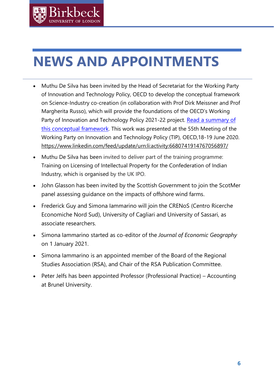# <span id="page-6-0"></span>**NEWS AND APPOINTMENTS**

**Sirkher** 

- Muthu De Silva has been invited by the Head of Secretariat for the Working Party of Innovation and Technology Policy, OECD to develop the conceptual framework on Science-Industry co-creation (in collaboration with Prof Dirk Meissner and Prof Margherita Russo), which will provide the foundations of the OECD's Working Party of Innovation and Technology Policy 2021-22 project. Read a [summary](https://papers.ssrn.com/sol3/papers.cfm?abstract_id=3622508) of this [conceptual](https://papers.ssrn.com/sol3/papers.cfm?abstract_id=3622508) framework. This work was presented at the 55th Meeting of the Working Party on Innovation and Technology Policy (TIP), OECD,18-19 June 2020. <https://www.linkedin.com/feed/update/urn:li:activity:6680741914767056897/>
- Muthu De Silva has been invited to deliver part of the training programme: Training on Licensing of Intellectual Property for the Confederation of Indian Industry, which is organised by the UK IPO.
- John Glasson has been invited by the Scottish Government to join the ScotMer panel assessing guidance on the impacts of offshore wind farms.
- Frederick Guy and Simona Iammarino will join the CRENoS (Centro Ricerche Economiche Nord Sud), University of Cagliari and University of Sassari, as associate researchers.
- Simona Iammarino started as co-editor of the *Journal of Economic Geography* on 1 January 2021.
- Simona Iammarino is an appointed member of the Board of the Regional Studies Association (RSA), and Chair of the RSA Publication Committee.
- Peter Jelfs has been appointed Professor (Professional Practice) Accounting at Brunel University.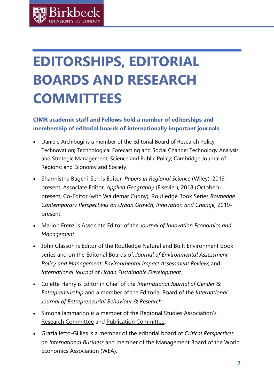# <span id="page-7-0"></span>**EDITORSHIPS, EDITORIAL BOARDS AND RESEARCH COMMITTEES**

### **CIMR academic staff and Fellows hold a number of editorships and membership of editorial boards of internationally important journals.**

- Daniele Archibugi is a member of the Editorial Board of Research Policy; Technovation; Technological Forecasting and Social Change; Technology Analysis and Strategic Management; Science and Public Policy; Cambridge Journal of Regions; and Economy and Society.
- Sharmistha Bagchi-Sen is Editor, *Papers in Regional Science* (Wiley), 2019 present; Associate Editor, *Applied Geography* (Elsevier), 2018 (October) present; Co-Editor (with Waldemar Cudny), Routledge Book Series *Routledge Contemporary Perspectives on Urban Growth, Innovation and Change,* 2019 present.
- Marion Frenz is Associate Editor of the *Journal of Innovation Economics and Management.*
- John Glasson is Editor of the Routledge Natural and Built Environment book series and on the Editorial Boards of: *Journal of Environmental Assessment Policy and Management*; *Environmental Impact Assessment Review*; and *International Journal of Urban Sustainable Development.*
- Colette Henry is Editor in Chief of the *International Journal of Gender & Entrepreneurship* and a member of the Editorial Board of the *International Journal of Entrepreneurial Behaviour & Research.*
- Simona Iammarino is a member of the Regional Studies Association's [Research Committee](http://www.regionalstudies.org/about/committee/research-committee) and [Publication Committee.](http://www.regionalstudies.org/about/committee/publication-committee)
- Grazia Ietto-Gillies is a member of the editorial board of *Critical Perspectives on International Business* and member of the Management Board of the World Economics Association (WEA).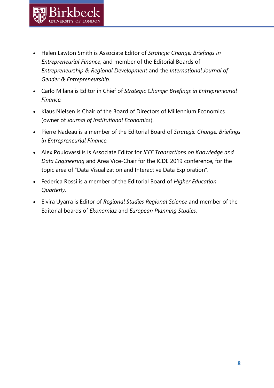- Helen Lawton Smith is Associate Editor of *Strategic Change: Briefings in Entrepreneurial Finance*, and member of the Editorial Boards of *Entrepreneurship & Regional Development* and the *International Journal of Gender & Entrepreneurship.*
- Carlo Milana is Editor in Chief of *Strategic Change: Briefings in Entrepreneurial Finance.*
- Klaus Nielsen is Chair of the Board of Directors of Millennium Economics (owner of *Journal of Institutional Economics*).
- Pierre Nadeau is a member of the Editorial Board of *Strategic Change: Briefings in Entrepreneurial Finance.*
- Alex Poulovassilis is Associate Editor for *IEEE Transactions on Knowledge and Data Engineering* and Area Vice-Chair for the ICDE 2019 conference, for the topic area of "Data Visualization and Interactive Data Exploration".
- Federica Rossi is a member of the Editorial Board of *Higher Education Quarterly.*
- Elvira Uyarra is Editor of *Regional Studies Regional Science* and member of the Editorial boards of *Ekonomiaz* and *European Planning Studies.*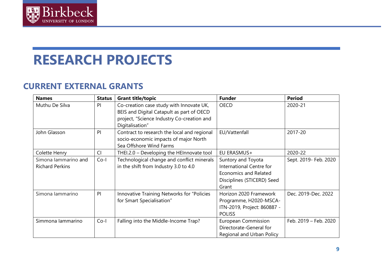

## **RESEARCH PROJECTS**

## **CURRENT EXTERNAL GRANTS**

<span id="page-9-0"></span>

| <b>Names</b>                                   | <b>Status</b> | <b>Grant title/topic</b>                                                                                                                               | <b>Funder</b>                                                                                                  | <b>Period</b>         |
|------------------------------------------------|---------------|--------------------------------------------------------------------------------------------------------------------------------------------------------|----------------------------------------------------------------------------------------------------------------|-----------------------|
| Muthu De Silva                                 | P             | Co-creation case study with Innovate UK,<br>BEIS and Digital Catapult as part of OECD<br>project, "Science Industry Co-creation and<br>Digitalisation" | <b>OECD</b>                                                                                                    | 2020-21               |
| John Glasson                                   | P             | Contract to research the local and regional<br>socio-economic impacts of major North<br>Sea Offshore Wind Farms                                        | EU/Vattenfall                                                                                                  | 2017-20               |
| Colette Henry                                  | Cl            | THEI.2.0 - Developing the HEInnovate tool                                                                                                              | EU ERASMUS+                                                                                                    | 2020-22               |
| Simona lammarino and<br><b>Richard Perkins</b> | $Co-I$        | Technological change and conflict minerals<br>in the shift from Industry 3.0 to 4.0                                                                    | Suntory and Toyota<br>International Centre for<br>Economics and Related<br>Disciplines (STICERD) Seed<br>Grant | Sept. 2019- Feb. 2020 |
| Simona lammarino                               | P             | Innovative Training Networks for "Policies<br>for Smart Specialisation"                                                                                | Horizon 2020 Framework<br>Programme, H2020-MSCA-<br>ITN-2019, Project: 860887 -<br><b>POLISS</b>               | Dec. 2019-Dec. 2022   |
| Simmona lammarino                              | $Co-I$        | Falling into the Middle-Income Trap?                                                                                                                   | European Commission<br>Directorate-General for<br>Regional and Urban Policy                                    | Feb. 2019 - Feb. 2020 |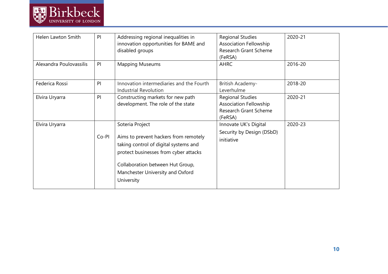

| Helen Lawton Smith      | PI    | Addressing regional inequalities in<br>innovation opportunities for BAME and                                                                                                                                  | <b>Regional Studies</b><br><b>Association Fellowship</b>                                     | 2020-21 |
|-------------------------|-------|---------------------------------------------------------------------------------------------------------------------------------------------------------------------------------------------------------------|----------------------------------------------------------------------------------------------|---------|
|                         |       | disabled groups                                                                                                                                                                                               | Research Grant Scheme                                                                        |         |
|                         |       |                                                                                                                                                                                                               | (FeRSA)                                                                                      |         |
| Alexandra Poulovassilis | PI    | <b>Mapping Museums</b>                                                                                                                                                                                        | <b>AHRC</b>                                                                                  | 2016-20 |
| Federica Rossi          | P     | Innovation intermediaries and the Fourth<br><b>Industrial Revolution</b>                                                                                                                                      | British Academy-<br>Leverhulme                                                               | 2018-20 |
| Elvira Uryarra          | PI    | Constructing markets for new path<br>development. The role of the state                                                                                                                                       | <b>Regional Studies</b><br><b>Association Fellowship</b><br>Research Grant Scheme<br>(FeRSA) | 2020-21 |
| Elvira Uryarra          |       | Soteria Project                                                                                                                                                                                               | Innovate UK's Digital                                                                        | 2020-23 |
|                         | Co-PI | Aims to prevent hackers from remotely<br>taking control of digital systems and<br>protect businesses from cyber attacks<br>Collaboration between Hut Group,<br>Manchester University and Oxford<br>University | Security by Design (DSbD)<br>initiative                                                      |         |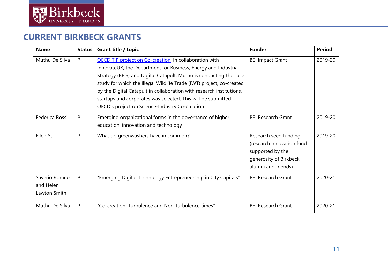

### **CURRENT BIRKBECK GRANTS**

<span id="page-11-0"></span>

| <b>Name</b>                                | <b>Status</b> | <b>Grant title / topic</b>                                                                                                                                                                                                                                                                                                                                                                                                                                       | <b>Funder</b>                                                                                                           | <b>Period</b> |
|--------------------------------------------|---------------|------------------------------------------------------------------------------------------------------------------------------------------------------------------------------------------------------------------------------------------------------------------------------------------------------------------------------------------------------------------------------------------------------------------------------------------------------------------|-------------------------------------------------------------------------------------------------------------------------|---------------|
| Muthu De Silva                             | P             | OECD TIP project on Co-creation: In collaboration with<br>InnovateUK, the Department for Business, Energy and Industrial<br>Strategy (BEIS) and Digital Catapult, Muthu is conducting the case<br>study for which the Illegal Wildlife Trade (IWT) project, co-created<br>by the Digital Catapult in collaboration with research institutions,<br>startups and corporates was selected. This will be submitted<br>OECD's project on Science-Industry Co-creation | <b>BEI Impact Grant</b>                                                                                                 | 2019-20       |
| Federica Rossi                             | P             | Emerging organizational forms in the governance of higher<br>education, innovation and technology                                                                                                                                                                                                                                                                                                                                                                | <b>BEI Research Grant</b>                                                                                               | 2019-20       |
| Ellen Yu                                   | P             | What do greenwashers have in common?                                                                                                                                                                                                                                                                                                                                                                                                                             | Research seed funding<br>(research innovation fund<br>supported by the<br>generosity of Birkbeck<br>alumni and friends) | 2019-20       |
| Saverio Romeo<br>and Helen<br>Lawton Smith | PI            | "Emerging Digital Technology Entrepreneurship in City Capitals"                                                                                                                                                                                                                                                                                                                                                                                                  | <b>BEI Research Grant</b>                                                                                               | 2020-21       |
| Muthu De Silva                             | PI            | "Co-creation: Turbulence and Non-turbulence times"                                                                                                                                                                                                                                                                                                                                                                                                               | <b>BEI Research Grant</b>                                                                                               | 2020-21       |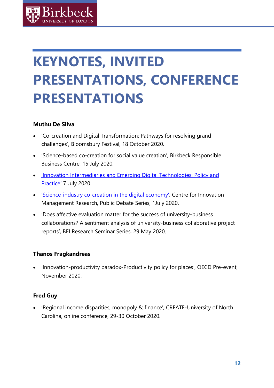# <span id="page-12-0"></span>**KEYNOTES, INVITED PRESENTATIONS, CONFERENCE PRESENTATIONS**

### **Muthu De Silva**

- 'Co-creation and Digital Transformation: Pathways for resolving grand challenges', [Bloomsbury Festival,](http://www.bbk.ac.uk/cimr/2020/10/28/notes-on-cimr-at-the-bloomsbury-festival-2020/) 18 October 2020.
- 'Science-based co-creation for social value creation', Birkbeck Responsible Business Centre, 15 July 2020.
- 'Innovation [Intermediaries](http://www.bbk.ac.uk/events/remote_event_view?id=13348) and Emerging Digital Technologies: Policy and [Practice'](http://www.bbk.ac.uk/events/remote_event_view?id=13348) 7 July 2020.
- 'Science-industry [co-creation](http://www.bbk.ac.uk/events/remote_event_view?id=13091) in the digital economy', Centre for Innovation Management Research, Public Debate Series, 1July 2020.
- 'Does affective evaluation matter for the success of university-business collaborations? A sentiment analysis of university-business collaborative project reports', BEI Research Seminar Series, 29 May 2020.

### **Thanos Fragkandreas**

• 'Innovation-productivity paradox-Productivity policy for places', OECD Pre-event, November 2020.

### **Fred Guy**

• 'Regional income disparities, monopoly & finance', CREATE-University of North Carolina, online conference, 29-30 October 2020.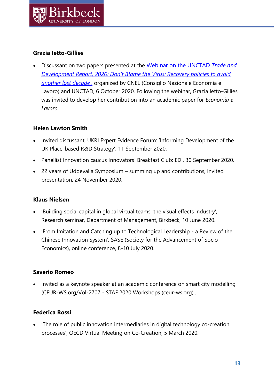### **Grazia Ietto-Gillies**

• Discussant on two papers presented at the [Webinar on the UNCTAD](https://www.youtube.com/watch?v=C1j6mrvAZ-A) *Trade and [Development Report, 2020: Don't Blame the Virus: Recovery policies to avoid](https://www.youtube.com/watch?v=C1j6mrvAZ-A)  [another lost decade'](https://www.youtube.com/watch?v=C1j6mrvAZ-A)*, organized by CNEL (Consiglio Nazionale Economia e Lavoro) and UNCTAD, 6 October 2020. Following the webinar, Grazia Ietto-Gillies was invited to develop her contribution into an academic paper for *Economia e Lavoro*.

### **Helen Lawton Smith**

- Invited discussant, UKRI Expert Evidence Forum: 'Informing Development of the UK Place-based R&D Strategy', 11 September 2020.
- Panellist Innovation caucus Innovators' Breakfast Club: EDI, 30 September 2020.
- 22 years of Uddevalla Symposium summing up and contributions, Invited presentation, 24 November 2020.

### **Klaus Nielsen**

- 'Building social capital in global virtual teams: the visual effects industry', Research seminar, Department of Management, Birkbeck, 10 June 2020.
- 'From Imitation and Catching up to Technological Leadership a Review of the Chinese Innovation System', SASE (Society for the Advancement of Socio Economics), online conference, 8-10 July 2020.

### **Saverio Romeo**

• Invited as a keynote speaker at an academic conference on smart city modelling [\(CEUR-WS.org/Vol-2707](http://ceur-ws.org/Vol-2707/) - STAF 2020 Workshops (ceur-ws.org) .

### **Federica Rossi**

• 'The role of public innovation intermediaries in digital technology co-creation processes', OECD Virtual Meeting on Co-Creation, 5 March 2020.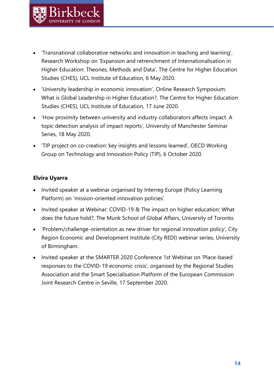- 'Transnational collaborative networks and innovation in teaching and learning', Research Workshop on 'Expansion and retrenchment of Internationalisation in Higher Education: Theories, Methods and Data', The Centre for Higher Education Studies (CHES), UCL Institute of Education, 6 May 2020.
- 'University leadership in economic innovation', Online Research Symposium: What is Global Leadership in Higher Education?, The Centre for Higher Education Studies (CHES), UCL Institute of Education, 17 June 2020.
- 'How proximity between university and industry collaborators affects impact. A topic detection analysis of impact reports', University of Manchester Seminar Series, 18 May 2020.
- 'TIP project on co-creation: key insights and lessons learned', OECD Working Group on Technology and Innovation Policy (TIP), 6 October 2020.

### **Elvira Uyarra**

- Invited speaker at a webinar organised by Interreg Europe (Policy Learning Platform) on 'mission-oriented innovation policies'.
- Invited speaker at Webinar: COVID-19 & The impact on higher education: What does the future hold?, The Munk School of Global Affairs, University of Toronto.
- 'Problem/challenge-orientation as new driver for regional innovation policy', City Region Economic and Development Institute (City REDI) webinar series, University of Birmingham.
- Invited speaker at the SMARTER 2020 Conference 1st Webinar on 'Place-based responses to the COVID-19 economic crisis', organised by the Regional Studies Association and the Smart Specialisation Platform of the European Commission Joint Research Centre in Seville, 17 September 2020.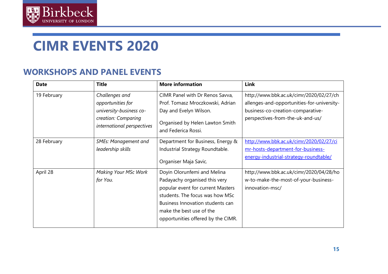

## **CIMR EVENTS 2020**

### **WORKSHOPS AND PANEL EVENTS**

<span id="page-15-0"></span>

| <b>Date</b> | <b>Title</b>                                                                                                        | <b>More information</b>                                                                                                                                                                                                                    | Link                                                                                                                                                           |
|-------------|---------------------------------------------------------------------------------------------------------------------|--------------------------------------------------------------------------------------------------------------------------------------------------------------------------------------------------------------------------------------------|----------------------------------------------------------------------------------------------------------------------------------------------------------------|
| 19 February | Challenges and<br>opportunities for<br>university-business co-<br>creation: Comparing<br>international perspectives | CIMR Panel with Dr Renos Savva,<br>Prof. Tomasz Mroczkowski, Adrian<br>Day and Evelyn Wilson.<br>Organised by Helen Lawton Smith<br>and Federica Rossi.                                                                                    | http://www.bbk.ac.uk/cimr/2020/02/27/ch<br>allenges-and-opportunities-for-university-<br>business-co-creation-comparative-<br>perspectives-from-the-uk-and-us/ |
| 28 February | <b>SMEs: Management and</b><br>leadership skills                                                                    | Department for Business, Energy &<br>Industrial Strategy Roundtable.<br>Organiser Maja Savic.                                                                                                                                              | http://www.bbk.ac.uk/cimr/2020/02/27/ci<br>mr-hosts-department-for-business-<br>energy-industrial-strategy-roundtable/                                         |
| April 28    | <b>Making Your MSc Work</b><br>for You.                                                                             | Doyin Olorunfemi and Melina<br>Padayachy organised this very<br>popular event for current Masters<br>students. The focus was how MSc<br>Business Innovation students can<br>make the best use of the<br>opportunities offered by the CIMR. | http://www.bbk.ac.uk/cimr/2020/04/28/ho<br>w-to-make-the-most-of-your-business-<br>innovation-msc/                                                             |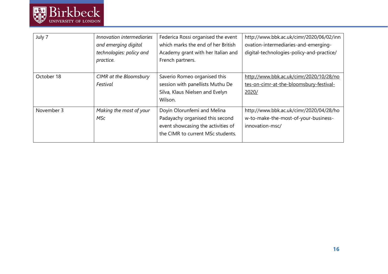

| July 7     | Innovation intermediaries<br>and emerging digital<br>technologies: policy and<br>practice. | Federica Rossi organised the event<br>which marks the end of her British<br>Academy grant with her Italian and<br>French partners.        | http://www.bbk.ac.uk/cimr/2020/06/02/inn<br>ovation-intermediaries-and-emerging-<br>digital-technologies-policy-and-practice/ |
|------------|--------------------------------------------------------------------------------------------|-------------------------------------------------------------------------------------------------------------------------------------------|-------------------------------------------------------------------------------------------------------------------------------|
| October 18 | CIMR at the Bloomsbury<br>Festival                                                         | Saverio Romeo organised this<br>session with panellists Muthu De<br>Silva, Klaus Nielsen and Evelyn<br>Wilson.                            | http://www.bbk.ac.uk/cimr/2020/10/28/no<br>tes-on-cimr-at-the-bloomsbury-festival-<br>2020/                                   |
| November 3 | Making the most of your<br>MSc                                                             | Doyin Olorunfemi and Melina<br>Padayachy organised this second<br>event showcasing the activities of<br>the CIMR to current MSc students. | http://www.bbk.ac.uk/cimr/2020/04/28/ho<br>w-to-make-the-most-of-your-business-<br>innovation-msc/                            |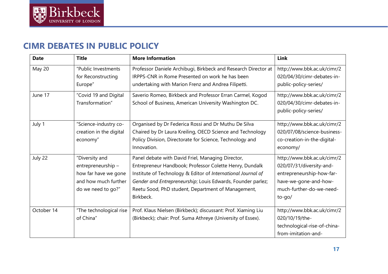

## **CIMR DEBATES IN PUBLIC POLICY**

<span id="page-17-0"></span>

| <b>Date</b> | <b>Title</b>                                                                                              | <b>More Information</b>                                                                                                                                                                                                                                                                                        | Link                                                                                                                                                  |
|-------------|-----------------------------------------------------------------------------------------------------------|----------------------------------------------------------------------------------------------------------------------------------------------------------------------------------------------------------------------------------------------------------------------------------------------------------------|-------------------------------------------------------------------------------------------------------------------------------------------------------|
| May 20      | "Public Investments<br>for Reconstructing<br>Europe"                                                      | Professor Daniele Archibugi, Birkbeck and Research Director at<br>IRPPS-CNR in Rome Presented on work he has been<br>undertaking with Marion Frenz and Andrea Filipetti.                                                                                                                                       | http://www.bbk.ac.uk/cimr/2<br>020/04/30/cimr-debates-in-<br>public-policy-series/                                                                    |
| June 17     | "Covid 19 and Digital<br>Transformation"                                                                  | Saverio Romeo, Birkbeck and Professor Erran Carmel, Kogod<br>School of Business, American University Washington DC.                                                                                                                                                                                            | http://www.bbk.ac.uk/cimr/2<br>020/04/30/cimr-debates-in-<br>public-policy-series/                                                                    |
| July 1      | "Science-industry co-<br>creation in the digital<br>economy"                                              | Organised by Dr Federica Rossi and Dr Muthu De Silva<br>Chaired by Dr Laura Kreiling, OECD Science and Technology<br>Policy Division, Directorate for Science, Technology and<br>Innovation.                                                                                                                   | http://www.bbk.ac.uk/cimr/2<br>020/07/08/science-business-<br>co-creation-in-the-digital-<br>economy/                                                 |
| July 22     | "Diversity and<br>entrepreneurship-<br>how far have we gone<br>and how much further<br>do we need to go?" | Panel debate with David Friel, Managing Director,<br>Entrepreneur Handbook; Professor Colette Henry, Dundalk<br>Institute of Technology & Editor of International Journal of<br>Gender and Entrepreneurship; Louis Edwards, Founder parlez;<br>Reetu Sood, PhD student, Department of Management,<br>Birkbeck. | http://www.bbk.ac.uk/cimr/2<br>020/07/31/diversity-and-<br>entrepreneurship-how-far-<br>have-we-gone-and-how-<br>much-further-do-we-need-<br>$to-qo/$ |
| October 14  | "The technological rise<br>of China"                                                                      | Prof. Klaus Nielsen (Birkbeck); discussant: Prof. Xiaming Liu<br>(Birkbeck); chair: Prof. Suma Athreye (University of Essex).                                                                                                                                                                                  | http://www.bbk.ac.uk/cimr/2<br>020/10/19/the-<br>technological-rise-of-china-<br>from-imitation-and-                                                  |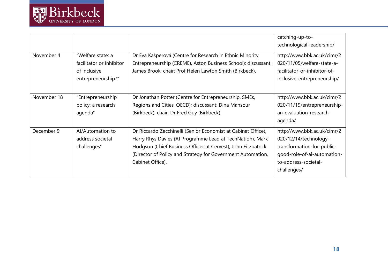

|             |                                                                                     |                                                                                                                                                                                                                                                                                | catching-up-to-<br>technological-leadership/                                                                                                             |
|-------------|-------------------------------------------------------------------------------------|--------------------------------------------------------------------------------------------------------------------------------------------------------------------------------------------------------------------------------------------------------------------------------|----------------------------------------------------------------------------------------------------------------------------------------------------------|
| November 4  | "Welfare state: a<br>facilitator or inhibitor<br>of inclusive<br>entrepreneurship?" | Dr Eva Kašperová (Centre for Research in Ethnic Minority<br>Entrepreneurship (CREME), Aston Business School); discussant:<br>James Brook; chair: Prof Helen Lawton Smith (Birkbeck).                                                                                           | http://www.bbk.ac.uk/cimr/2<br>020/11/05/welfare-state-a-<br>facilitator-or-inhibitor-of-<br>inclusive-entrepreneurship/                                 |
| November 18 | "Entrepreneurship<br>policy: a research<br>agenda"                                  | Dr Jonathan Potter (Centre for Entrepreneurship, SMEs,<br>Regions and Cities, OECD); discussant: Dina Mansour<br>(Birkbeck); chair: Dr Fred Guy (Birkbeck).                                                                                                                    | http://www.bbk.ac.uk/cimr/2<br>020/11/19/entrepreneurship-<br>an-evaluation-research-<br>agenda/                                                         |
| December 9  | Al/Automation to<br>address societal<br>challenges"                                 | Dr Riccardo Zecchinelli (Senior Economist at Cabinet Office),<br>Harry Rhys Davies (Al Programme Lead at TechNation), Mark<br>Hodgson (Chief Business Officer at Cervest), John Fitzpatrick<br>(Director of Policy and Strategy for Government Automation,<br>Cabinet Office). | http://www.bbk.ac.uk/cimr/2<br>020/12/14/technology-<br>transformation-for-public-<br>qood-role-of-ai-automation-<br>to-address-societal-<br>challenges/ |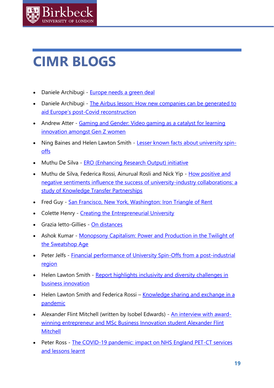

## <span id="page-19-0"></span>**CIMR BLOGS**

- Daniele Archibugi [Europe needs a green deal](http://www.bbk.ac.uk/cimr/2020/04/06/europe-needs-a-green-deal/)
- Daniele Archibugi [The Airbus lesson: How new companies can be generated to](http://www.bbk.ac.uk/cimr/2020/05/13/the-airbus-lesson-how-new-companies-can-be-generated-to-aid-europes-post-covid-reconstruction/)  aid Europe's post[-Covid reconstruction](http://www.bbk.ac.uk/cimr/2020/05/13/the-airbus-lesson-how-new-companies-can-be-generated-to-aid-europes-post-covid-reconstruction/)
- Andrew Atter Gaming and Gender: Video gaming as a catalyst for learning [innovation amongst Gen Z women](http://www.bbk.ac.uk/cimr/2020/12/19/gaming-and-gender-video-gaming-as-a-catalyst-for-learning-innovation-in-gen-z-women/)
- Ning Baines and Helen Lawton Smith [Lesser known facts about university spin](http://www.bbk.ac.uk/cimr/2020/05/07/lesser-known-facts-about-university-spin-offs/)[offs](http://www.bbk.ac.uk/cimr/2020/05/07/lesser-known-facts-about-university-spin-offs/)
- Muthu De Silva [ERO \(Enhancing Research Output\) initiative](http://www.bbk.ac.uk/cimr/2020/06/15/ero-enhancing-research-output-initiative/)
- Muthu de Silva, Federica Rossi, Ainurual Rosli and Nick Yip How positive and [negative sentiments influence the success of university-industry collaborations: a](http://www.bbk.ac.uk/cimr/2020/12/11/how-positive-and-negative-sentiments-influence-the-success-of-university-industry-collaborations-a-study-of-knowledge-transfer-partnerships/)  [study of Knowledge Transfer Partnerships](http://www.bbk.ac.uk/cimr/2020/12/11/how-positive-and-negative-sentiments-influence-the-success-of-university-industry-collaborations-a-study-of-knowledge-transfer-partnerships/)
- Fred Guy [San Francisco, New York, Washington: Iron Triangle of Rent](http://www.bbk.ac.uk/cimr/2021/01/05/san-francisco-new-york-washington-iron-triangle-of-rent/)
- Colette Henry [Creating the Entrepreneurial University](http://www.bbk.ac.uk/cimr/2020/07/21/creating-the-entrepreneurial-university/)
- Grazia Ietto-Gillies [On distances](http://www.bbk.ac.uk/cimr/2020/06/03/on-distances/)
- Ashok Kumar [Monopsony Capitalism: Power and Production in the Twilight of](http://www.bbk.ac.uk/cimr/2020/12/21/monopsony-capitalism-power-and-production-in-the-twilight-of-the-sweatshop-age/)  [the Sweatshop Age](http://www.bbk.ac.uk/cimr/2020/12/21/monopsony-capitalism-power-and-production-in-the-twilight-of-the-sweatshop-age/)
- Peter Jelfs [Financial performance of University Spin-Offs from a post-industrial](http://www.bbk.ac.uk/cimr/2020/11/25/financial-performance-of-university-spin-offs-from-a-post-industrial-region/)  [region](http://www.bbk.ac.uk/cimr/2020/11/25/financial-performance-of-university-spin-offs-from-a-post-industrial-region/)
- Helen Lawton Smith Report highlights inclusivity and diversity challenges in [business innovation](http://www.bbk.ac.uk/cimr/2020/07/30/report-highlights-inclusivity-and-diversity-challenges-in-business-innovation/)
- Helen Lawton Smith and Federica Rossi Knowledge sharing and exchange in a [pandemic](http://www.bbk.ac.uk/cimr/2020/06/17/knowledge-sharing-and-exchange-in-a-pandemic/)
- Alexander Flint Mitchell (written by Isobel Edwards) [An interview with award](http://www.bbk.ac.uk/cimr/2020/06/30/an-interview-with-award-winning-entrepreneur-and-msc-business-innovation-student-alexander-flint-mitchell/)[winning entrepreneur and MSc Business Innovation student Alexander Flint](http://www.bbk.ac.uk/cimr/2020/06/30/an-interview-with-award-winning-entrepreneur-and-msc-business-innovation-student-alexander-flint-mitchell/)  [Mitchell](http://www.bbk.ac.uk/cimr/2020/06/30/an-interview-with-award-winning-entrepreneur-and-msc-business-innovation-student-alexander-flint-mitchell/)
- Peter Ross The COVID-19 pandemic: impact on NHS England PET-CT services [and lessons learnt](http://www.bbk.ac.uk/cimr/2020/10/19/the-first-wave-of-the-coronavirus-disease-pandemic-2020-impact-on-nhs-england-pet-ct-scanning-and-lessons-learnt/)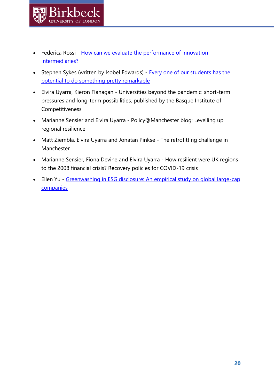- Federica Rossi How can we evaluate the performance of innovation [intermediaries?](http://www.bbk.ac.uk/cimr/2020/04/23/how-can-we-evaluate-the-performance-of-innovation-intermediaries/)
- Stephen Sykes (written by Isobel Edwards) Every one of our students has the [potential to do something pretty remarkable](http://www.bbk.ac.uk/cimr/2020/07/22/every-one-of-our-students-has-the-potential-to-do-something-pretty-remarkable/)
- Elvira Uyarra, Kieron Flanagan [Universities beyond the pandemic: short-term](https://www.orkestra.deusto.es/en/latest-news/news-events/beyondcompetitiveness)  [pressures and long-term possibilities,](https://www.orkestra.deusto.es/en/latest-news/news-events/beyondcompetitiveness) published by the Basque Institute of Competitiveness
- Marianne Sensier and Elvira Uyarra Policy@Manchester blog: [Levelling up](http://blog.policy.manchester.ac.uk/growth_inclusion/2020/05/levelling-up-regional-resilience/?gator_td=O0d7uudS12WuAi78d2tUBTwj9QDFS27fw7Ki6NPMLhsbjdOw/wulbXJcm1X83V91qVaWrOXpMasV6U/1O8HJOghW8KUF+2i3+DeeyWbLcJdycI3ts+n6ydOu57zMVBL8MKoWDTGZ/vXJVtpAWGo/K1TNBC6M/XWOQiNYUdN0QdE=%22%20%5Cl%20%22utm_source=newsletter1205)  [regional resilience](http://blog.policy.manchester.ac.uk/growth_inclusion/2020/05/levelling-up-regional-resilience/?gator_td=O0d7uudS12WuAi78d2tUBTwj9QDFS27fw7Ki6NPMLhsbjdOw/wulbXJcm1X83V91qVaWrOXpMasV6U/1O8HJOghW8KUF+2i3+DeeyWbLcJdycI3ts+n6ydOu57zMVBL8MKoWDTGZ/vXJVtpAWGo/K1TNBC6M/XWOQiNYUdN0QdE=%22%20%5Cl%20%22utm_source=newsletter1205)
- Matt Ziembla, Elvira Uyarra and Jonatan Pinkse [The retrofitting challenge in](http://blog.policy.manchester.ac.uk/posts/2020/07/the-retrofitting-challenge-in-manchester/)  [Manchester](http://blog.policy.manchester.ac.uk/posts/2020/07/the-retrofitting-challenge-in-manchester/)
- Marianne Sensier, Fiona Devine and Elvira Uyarra [How resilient were UK regions](http://blog.policy.manchester.ac.uk/growth_inclusion/2020/07/how-resilient-were-uk-regions-to-the-2008-financial-crisis-recovery-policies-for-covid-19-crisis/)  [to the 2008 financial crisis? Recovery policies for COVID-19 crisis](http://blog.policy.manchester.ac.uk/growth_inclusion/2020/07/how-resilient-were-uk-regions-to-the-2008-financial-crisis-recovery-policies-for-covid-19-crisis/)
- Ellen Yu [Greenwashing in ESG disclosure: An empirical study on global large-cap](http://www.bbk.ac.uk/cimr/2020/10/05/greenwashing-in-esg-disclosure-an-empirical-study-on-global-large-cap-companies/)  **[companies](http://www.bbk.ac.uk/cimr/2020/10/05/greenwashing-in-esg-disclosure-an-empirical-study-on-global-large-cap-companies/)**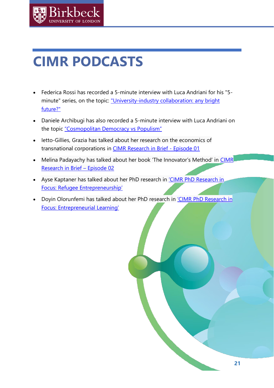

# <span id="page-21-0"></span>**CIMR PODCASTS**

- Federica Rossi has recorded a 5-minute interview with Luca Andriani for his "5 minute" series, on the topic: ["University-industry collaboration: any bright](https://www.youtube.com/watch?v=bSkZ63ovTaA&feature=youtu.be)  [future?"](https://www.youtube.com/watch?v=bSkZ63ovTaA&feature=youtu.be)
- Daniele Archibugi has also recorded a 5-minute interview with Luca Andriani on the topic ["Cosmopolitan Democracy vs Populism"](https://www.youtube.com/watch?v=wz-S2e3kODw)
- Ietto-Gillies, Grazia has talked about her research on the economics of transnational corporations in [CIMR Research in Brief -](https://www.youtube.com/watch?v=eA4zM0ktAf8&list=PL2Fy-5oxIlb7xEFd1_3_NYyTikLPEYylo&index=2&t=23s) Episode 01
- Melina Padayachy has talked about her book 'The Innovator's Method' in CIMR [Research in Brief](https://www.youtube.com/watch?v=Hcyrv_5EQtI&feature=youtu.be) – Episode 02
- Ayse Kaptaner has talked about her PhD research in ['CIMR PhD Research in](http://www.bbk.ac.uk/cimr/2020/02/12/cimr-phd-research-in-focus-refugee-entrepreneurship/)  [Focus: Refugee Entrepreneurship'](http://www.bbk.ac.uk/cimr/2020/02/12/cimr-phd-research-in-focus-refugee-entrepreneurship/)
- Doyin Olorunfemi has talked about her PhD research in 'CIMR PhD Research in [Focus: Entrepreneurial Learning'](http://www.bbk.ac.uk/cimr/2020/02/05/cimr-phd-research-in-focus-entrepreneurial-learning/)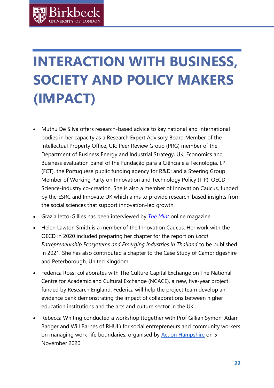# <span id="page-22-0"></span>**INTERACTION WITH BUSINESS, SOCIETY AND POLICY MAKERS (IMPACT)**

- Muthu De Silva offers research-based advice to key national and international bodies in her capacity as a Research Expert Advisory Board Member of the Intellectual Property Office, UK; Peer Review Group (PRG) member of the Department of Business Energy and Industrial Strategy, UK; Economics and Business evaluation panel of the Fundação para a Ciência e a Tecnologia, I.P. (FCT), the Portuguese public funding agency for R&D; and a Steering Group Member of Working Party on Innovation and Technology Policy (TIP), OECD – Science-industry co-creation. She is also a member of Innovation Caucus, funded by the ESRC and Innovate UK which aims to provide research-based insights from the social sciences that support innovation-led growth.
- Grazia Ietto-Gillies has been interviewed by *[The Mint](https://www.themintmagazine.com/a-hole-in-the-heart)* online magazine.
- Helen Lawton Smith is a member of the Innovation Caucus. Her work with the OECD in 2020 included preparing her chapter for the report on *Local Entrepreneurship Ecosystems and Emerging Industries in Thailand* to be published in 2021. She has also contributed a chapter to the Case Study of Cambridgeshire and Peterborough, United Kingdom.
- Federica Rossi collaborates with The Culture Capital Exchange on The National Centre for Academic and Cultural Exchange (NCACE), a new, five-year project funded by Research England. Federica will help the project team develop an evidence bank demonstrating the impact of collaborations between higher education institutions and the arts and culture sector in the UK.
- Rebecca Whiting conducted a workshop (together with Prof Gillian Symon, Adam Badger and Will Barnes of RHUL) for social entrepreneurs and community workers on managing work-life boundaries, organised by [Action Hampshire](https://actionhampshire.org/) on 5 November 2020.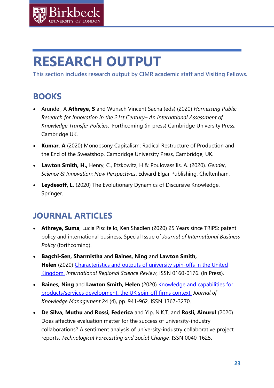

# <span id="page-23-0"></span>**RESEARCH OUTPUT**

**This section includes research output by CIMR academic staff and Visiting Fellows.**

## <span id="page-23-1"></span>**BOOKS**

- Arundel, A **Athreye, S** and Wunsch Vincent Sacha (eds) (2020) *Harnessing Public Research for Innovation in the 21st Century– An international Assessment of Knowledge Transfer Policies*. Forthcoming (in press) Cambridge University Press, Cambridge UK.
- **Kumar, A** (2020) Monopsony Capitalism: Radical Restructure of Production and the End of the Sweatshop. Cambridge University Press, Cambridge, UK.
- **Lawton Smith, H.,** Henry, C., Etzkowitz, H & Poulovassilis, A. (2020). *Gender, Science & Innovation: New Perspectives*. Edward Elgar Publishing: Cheltenham.
- **Leydesoff, L.** (2020) The Evolutionary Dynamics of Discursive Knowledge, Springer.

## <span id="page-23-2"></span>**JOURNAL ARTICLES**

- **Athreye, Suma**, Lucia Piscitello, Ken Shadlen (2020) 25 Years since TRIPS: patent policy and international business, Special Issue of *Journal of International Business Policy* (forthcoming).
- **Bagchi-Sen, Sharmistha** and **Baines, Ning** and **Lawton Smith, Helen** (2020) [Characteristics and outputs of university spin-offs in the United](http://eprints.bbk.ac.uk/id/eprint/31677/)  [Kingdom.](http://eprints.bbk.ac.uk/id/eprint/31677/) *International Regional Science Review*, ISSN 0160-0176. (In Press).
- **Baines, Ning** and **Lawton Smith, Helen** (2020) [Knowledge and capabilities for](http://eprints.bbk.ac.uk/id/eprint/31654/)  [products/services development: the UK spin-off firms context.](http://eprints.bbk.ac.uk/id/eprint/31654/) *Journal of Knowledge Management* 24 (4), pp. 941-962. ISSN 1367-3270.
- **De Silva, Muthu** and **Rossi, Federica** and Yip, N.K.T. and **Rosli, Ainurul** (2020) Does affective evaluation matter for the success of [university-industry](https://eprints.bbk.ac.uk/id/eprint/41526) collaborations? A sentiment analysis of [university-industry](https://eprints.bbk.ac.uk/id/eprint/41526) collaborative project [reports.](https://eprints.bbk.ac.uk/id/eprint/41526) *Technological Forecasting and Social Change,* ISSN 0040-1625.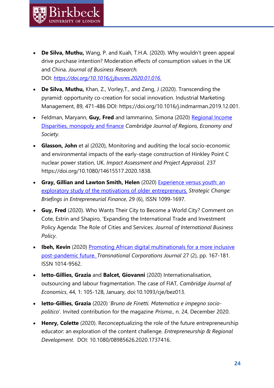• **De Silva, Muthu,** Wang, P. and Kuah, T.H.A. (2020). Why wouldn't green appeal drive purchase intention? Moderation effects of consumption values in the UK and China. *Journal of Business Research.*  DOI: *[https://doi.org/10.1016/j.jbusres.2020.01.016.](https://doi.org/10.1016/j.jbusres.2020.01.016)*

Kirkhec

- **De Silva, Muthu,** Khan, Z., Vorley,T., and Zeng, J (2020). Transcending the pyramid: opportunity co-creation for social innovation. Industrial Marketing Management, 89, 471-486 DOI: https://doi.org/10.1016/j.indmarman.2019.12.001.
- Feldman, Maryann, Guy, Fred and lammarino, Simona (2020) Regional Income [Disparities, monopoly and finance](•%09https:/academic.oup.com/cjres/advance-article/doi/10.1093/cjres/rsaa024/6056183?guestAccessKey=bb7b4054-c202-43e2-9385-e1081240d399) *Cambridge Journal of Regions, Economy and Society.*
- **Glasson, John** et al (2020), Monitoring and auditing the local socio-economic and environmental impacts of the early-stage construction of Hinkley Point C nuclear power station, UK. *Impact Assessment and Project Appraisal.* 237 https:/[/doi.org/10.1080/14615517.2020.1838.](http://doi.org/10.1080/14615517.2020.1838)
- **Gray, Gillian and Lawton Smith, Helen** (2020) [Experience versus youth: an](http://eprints.bbk.ac.uk/id/eprint/40997/)  [exploratory study of the motivations of older entrepreneurs.](http://eprints.bbk.ac.uk/id/eprint/40997/) *Strategic Change: Briefings in Entrepreneurial Finance*, 29 (6), ISSN 1099-1697.
- **Guy, Fred** (2020). Who Wants Their City to Become a World City? Comment on Cote, Estrin and Shapiro, 'Expanding the International Trade and Investment Policy Agenda: The Role of Cities and Services. *Journal of International Business Policy*.
- **Ibeh, Kevin** (2020) Promoting African digital multinationals for a more inclusive [post-pandemic future.](http://eprints.bbk.ac.uk/id/eprint/40924/) *Transnational Corporations Journal* 27 (2), pp. 167-181. ISSN 1014-9562.
- **Ietto-Gillies, Grazia** and **Balcet, Giovanni** (2020) Internationalisation, outsourcing and labour fragmentation. The case of FIAT, *Cambridge Journal of Economics*, 44, 1: 105-128, January, doi:10.1093/cje/bez013.
- **Ietto-Gillies, Grazia** (2020) '*Bruno de Finetti. Matematica e impegno sociopolitico*'. Invited contribution for the magazine *Prisma.,* n. 24, December 2020.
- **Henry, Colette** (2020). Reconceptualizing the role of the future entrepreneurship educator: an exploration of the content challenge. *Entrepreneurship & Regional Development*. DOI: 10.1080/08985626.2020.1737416.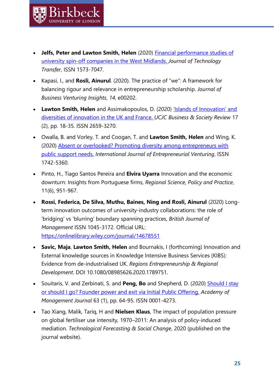• **Jelfs, Peter and Lawton Smith, Helen** (2020) [Financial performance](http://eprints.bbk.ac.uk/id/eprint/41628/) studies of [university spin-off companies in the West Midlands.](http://eprints.bbk.ac.uk/id/eprint/41628/) *Journal of Technology Transfer*, ISSN 1573-7047.

Birkbec

- Kapasi, I., and **Rosli, Ainurul**. (2020). The practice of "we": A framework for balancing rigour and relevance in entrepreneurship scholarship. *Journal of Business Venturing Insights*, *14*, e00202.
- **Lawton Smith, Helen** and Assimakopoulos, D. (2020) ['Islands of Innovation' and](http://eprints.bbk.ac.uk/id/eprint/41065/)  [diversities of innovation in the UK and France.](http://eprints.bbk.ac.uk/id/eprint/41065/) *UCJC Business & Society Review* 17 (2), pp. 18-35. ISSN 2659-3270.
- Owalla, B. and Vorley, T. and Coogan, T. and **Lawton Smith, Helen** and Wing, K. (2020) [Absent or overlooked? Promoting diversity among entrepreneurs with](http://eprints.bbk.ac.uk/id/eprint/40998/)  [public support needs.](http://eprints.bbk.ac.uk/id/eprint/40998/) *International Journal of Entrepreneurial Venturing*, ISSN 1742-5360.
- Pinto, H., Tiago Santos Pereira and **Elvira Uyarra** Innovation and the economic downturn: Insights from Portuguese firms, *Regional Science, Policy and Practice*, 11(6), 951-967.
- **Rossi, Federica, De Silva, Muthu, Baines, Ning and Rosli, Ainurul** (2020) [Long](https://eprints.bbk.ac.uk/id/eprint/41058)term innovation outcomes of [university-industry](https://eprints.bbk.ac.uk/id/eprint/41058) collaborations: the role of 'bridging' vs 'blurring' [boundary](https://eprints.bbk.ac.uk/id/eprint/41058) spanning practices, *British Journal of Management* ISSN 1045-3172. Official URL: <https://onlinelibrary.wiley.com/journal/14678551>
- **Savic, Maja**, **Lawton Smith, Helen** and Bournakis, I (forthcoming) Innovation and External knowledge sources in Knowledge Intensive Business Services (KIBS): Evidence from de-industrialised UK. *Regions Entrepreneurship & Regional Development*. DOI 10.1080/08985626.2020.1789751.
- Souitaris, V. and Zerbinati, S. and **Peng, Bo** and Shepherd, D. (2020) [Should I stay](http://eprints.bbk.ac.uk/id/eprint/26215/)  [or should I go? Founder power and exit via Initial Public Offering.](http://eprints.bbk.ac.uk/id/eprint/26215/) *Academy of Management Journal* 63 (1), pp. 64-95. ISSN 0001-4273.
- Tao Xiang, Malik, Tariq, H and **Nielsen Klaus**, The impact of population pressure on global fertiliser use intensity, 1970–2011: An analysis of policy-induced mediation. *Technological Forecasting & Social Change*, 2020 (published on the journal website).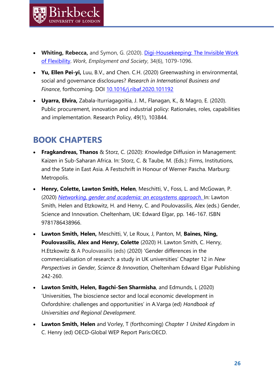- **Whiting, Rebecca,** and Symon, G. (2020). [Digi-Housekeeping: The Invisible Work](https://journals.sagepub.com/doi/pdf/10.1177/0950017020916192)  [of Flexibility.](https://journals.sagepub.com/doi/pdf/10.1177/0950017020916192) *Work, Employment and Society*, 34(6), 1079-1096.
- **Yu, Ellen Pei-yi,** Luu, B.V., and Chen. C.H. (2020) Greenwashing in environmental, social and governance disclosures? *Research in International Business and Finance*, forthcoming. DOI [10.1016/j.ribaf.2020.101192](https://doi.org/10.1016/j.ribaf.2020.101192)
- **Uyarra, Elvira,** Zabala-Iturriagagoitia, J. M., Flanagan, K., & Magro, E. (2020). Public procurement, innovation and industrial policy: Rationales, roles, capabilities and implementation. Research Policy, 49(1), 103844.

## <span id="page-26-0"></span>**BOOK CHAPTERS**

**Sirkher** 

- **Fragkandreas, Thanos** & Storz, C. (2020): *K*nowledge Diffusion in Management: Kaizen in Sub-Saharan Africa. In: Storz, C. & Taube, M. (Eds.): Firms, Institutions, and the State in East Asia. A Festschrift in Honour of Werner Pascha. Marburg: Metropolis.
- **Henry, Colette, Lawton Smith, Helen**, Meschitti, V., Foss, L. and McGowan, P. (2020) *[Networking, gender and academia: an ecosystems approach.](http://eprints.bbk.ac.uk/id/eprint/31133/)* In: Lawton Smith, Helen and Etzkowitz, H. and Henry, C. and Poulovassilis, Alex (eds.) Gender, Science and Innovation. Cheltenham, UK: Edward Elgar, pp. 146-167. ISBN 9781786438966.
- **Lawton Smith, Helen,** Meschitti, V, Le Roux, J, Panton, M, **Baines, Ning, Poulovassilis, Alex and Henry, Colette** (2020) H. Lawton Smith, C. Henry, H.Etzkowitz & A Poulovassilis (eds) (2020) 'Gender differences in the commercialisation of research: a study in UK universities' Chapter 12 in *New Perspectives in Gender, Science & Innovation,* Cheltenham Edward Elgar Publishing 242-260.
- **Lawton Smith, Helen, Bagchi-Sen Sharmisha**, and Edmunds, L (2020) 'Universities, The bioscience sector and local economic development in Oxfordshire: challenges and opportunities' in A.Varga (ed) *Handbook of Universities and Regional Development.*
- **Lawton Smith, Helen** and Vorley, T (forthcoming) *Chapter 1 United Kingdom* in C. Henry (ed) OECD-Global WEP Report Paris:OECD.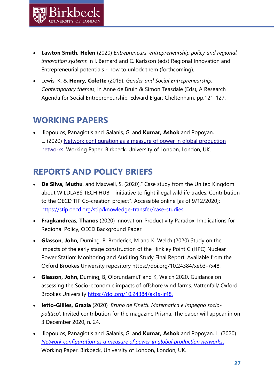- **Lawton Smith, Helen** (2020) *Entrepreneurs, entrepreneurship policy and regional innovation systems* in I. Bernard and C. Karlsson (eds) Regional Innovation and Entrepreneurial potentials - how to unlock them (forthcoming).
- Lewis, K. & **Henry, Colette** (2019). *Gender and Social Entrepreneurship: Contemporary themes*, in Anne de Bruin & Simon Teasdale (Eds), A Research Agenda for Social Entrepreneurship, Edward Elgar: Cheltenham, pp.121-127.

## <span id="page-27-0"></span>**WORKING PAPERS**

Kirkhec

• Iliopoulos, Panagiotis and Galanis, G. and **Kumar, Ashok** and Popoyan, L. (2020) [Network configuration as a measure of power in global production](http://eprints.bbk.ac.uk/id/eprint/31935/)  [networks.](http://eprints.bbk.ac.uk/id/eprint/31935/) Working Paper. Birkbeck, University of London, London, UK.

## <span id="page-27-1"></span>**REPORTS AND POLICY BRIEFS**

- **De Silva, Muthu**, and Maxwell, S. (2020)," Case study from the United Kingdom about WILDLABS TECH HUB – initiative to fight illegal wildlife trades: Contribution to the OECD TIP Co-creation project". Accessible online [as of 9/12/2020]: <https://stip.oecd.org/stip/knowledge-transfer/case-studies>
- **Fragkandreas, Thanos** (2020) Innovation-Productivity Paradox: Implications for Regional Policy, OECD Background Paper.
- **Glasson, John,** Durning, B, Broderick, M and K. Welch (2020) Study on the impacts of the early stage construction of the Hinkley Point C (HPC) Nuclear Power Station: Monitoring and Auditing Study Final Report. Available from the Oxford Brookes University repository [https://doi.org/10.24384/xeb3-7x48.](https://doi.org/10.24384/xeb3-7x48)
- **Glasson, John**, Durning, B, Olorundami,T and K, Welch 2020. Guidance on assessing the Socio-economic impacts of offshore wind farms. Vattenfall/ Oxford Brookes University [https://doi.org/10.24384/ax1s-jr48.](https://doi.org/10.24384/ax1s-jr48)
- **Ietto-Gillies, Grazia** (2020) '*Bruno de Finetti. Matematica e impegno sociopolitico*'. Invited contribution for the magazine Prisma. The paper will appear in on 3 December 2020, n. 24.
- Iliopoulos, Panagiotis and Galanis, G. and **Kumar, Ashok** and Popoyan, L. (2020) *[Network configuration as a measure of power in global production networks](http://eprints.bbk.ac.uk/id/eprint/31935/)*. Working Paper. Birkbeck, University of London, London, UK.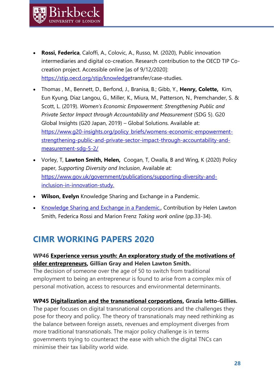- **Rossi, Federica**, Caloffi, A., Colovic, A., Russo, M. (2020), Public innovation intermediaries and digital co-creation. Research contribution to the OECD TIP Cocreation project. Accessible online [as of 9/12/2020]: [https://stip.oecd.org/stip/knowledget](https://stip.oecd.org/stip/knowledge)ransfer/case-studies.
- Thomas , M., Bennett, D., Berfond, J., Branisa, B.; Gibb, Y., **Henry, Colette,** Kim, Eun Kyung, Díaz Langou, G., Miller, K., Miura, M., Patterson, N., Premchander, S. & Scott, L. (2019). *Women's Economic Empowerment: Strengthening Public and Private Sector Impact through Accountability and Measurement* (SDG 5). G20 Global Insights (G20 Japan, 2019) – Global Solutions. Available at: [https://www.g20-insights.org/policy\\_briefs/womens-economic-empowerment](https://www.g20-insights.org/policy_briefs/womens-economic-empowerment-strengthening-public-and-private-sector-impact-through-accountability-and-measurement-sdg-5-2/)[strengthening-public-and-private-sector-impact-through-accountability-and](https://www.g20-insights.org/policy_briefs/womens-economic-empowerment-strengthening-public-and-private-sector-impact-through-accountability-and-measurement-sdg-5-2/)[measurement-sdg-5-2/](https://www.g20-insights.org/policy_briefs/womens-economic-empowerment-strengthening-public-and-private-sector-impact-through-accountability-and-measurement-sdg-5-2/)
- Vorley, T, **Lawton Smith, Helen,** Coogan, T, Owalla, B and Wing, K (2020) Policy paper, *Supporting Diversity and Inclusion*, Available at: [https://www.gov.uk/government/publications/supporting-diversity-and](https://www.gov.uk/government/publications/supporting-diversity-and-inclusion-in-innovation-study)[inclusion-in-innovation-study.](https://www.gov.uk/government/publications/supporting-diversity-and-inclusion-in-innovation-study)
- **Wilson, Evelyn** Knowledge Sharing and Exchange in a Pandemic.
- [Knowledge Sharing and Exchange in a Pandemic.,](https://www.theculturecapitalexchange.co.uk/2020/06/02/knowledge-sharing-and-exchange-in-a-pandemic/) Contribution by Helen Lawton Smith, Federica Rossi and Marion Frenz *Taking work online* (pp.33-34).

## <span id="page-28-0"></span>**CIMR WORKING PAPERS 2020**

### **WP46 [Experience versus youth: An exploratory study of the motivations of](http://www.bbk.ac.uk/cimr/wp-content/uploads/2020/08/CIMR-WP-46.pdf)  [older entrepreneurs,](http://www.bbk.ac.uk/cimr/wp-content/uploads/2020/08/CIMR-WP-46.pdf) Gillian Gray and Helen Lawton Smith.**

The decision of someone over the age of 50 to switch from traditional employment to being an entrepreneur is found to arise from a complex mix of personal motivation, access to resources and environmental determinants.

#### **WP45 [Digitalization and the transnational corporations,](http://www.bbk.ac.uk/cimr/wp-content/uploads/2020/01/CIMR-WP-45.pdf) Grazia Ietto-Gillies.**

The paper focuses on digital transnational corporations and the challenges they pose for theory and policy. The theory of transnationals may need rethinking as the balance between foreign assets, revenues and employment diverges from more traditional transnationals. The major policy challenge is in terms governments trying to counteract the ease with which the digital TNCs can minimise their tax liability world wide.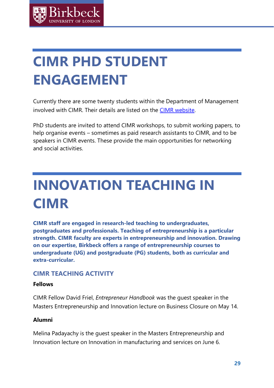

# <span id="page-29-0"></span>**CIMR PHD STUDENT ENGAGEMENT**

Currently there are some twenty students within the Department of Management involved with CIMR. Their details are listed on the [CIMR website.](http://www.bbk.ac.uk/cimr/people/phd-students/)

PhD students are invited to attend CIMR workshops, to submit working papers, to help organise events – sometimes as paid research assistants to CIMR, and to be speakers in CIMR events. These provide the main opportunities for networking and social activities.

# <span id="page-29-1"></span>**INNOVATION TEACHING IN CIMR**

**CIMR staff are engaged in research-led teaching to undergraduates, postgraduates and professionals. Teaching of entrepreneurship is a particular strength. CIMR faculty are experts in entrepreneurship and innovation. Drawing on our expertise, Birkbeck offers a range of entrepreneurship courses to undergraduate (UG) and postgraduate (PG) students, both as curricular and extra-curricular.**

### **CIMR TEACHING ACTIVITY**

#### **Fellows**

CIMR Fellow David Friel, *Entrepreneur Handbook* was the guest speaker in the Masters Entrepreneurship and Innovation lecture on Business Closure on May 14.

### **Alumni**

Melina Padayachy is the guest speaker in the Masters Entrepreneurship and Innovation lecture on Innovation in manufacturing and services on June 6.